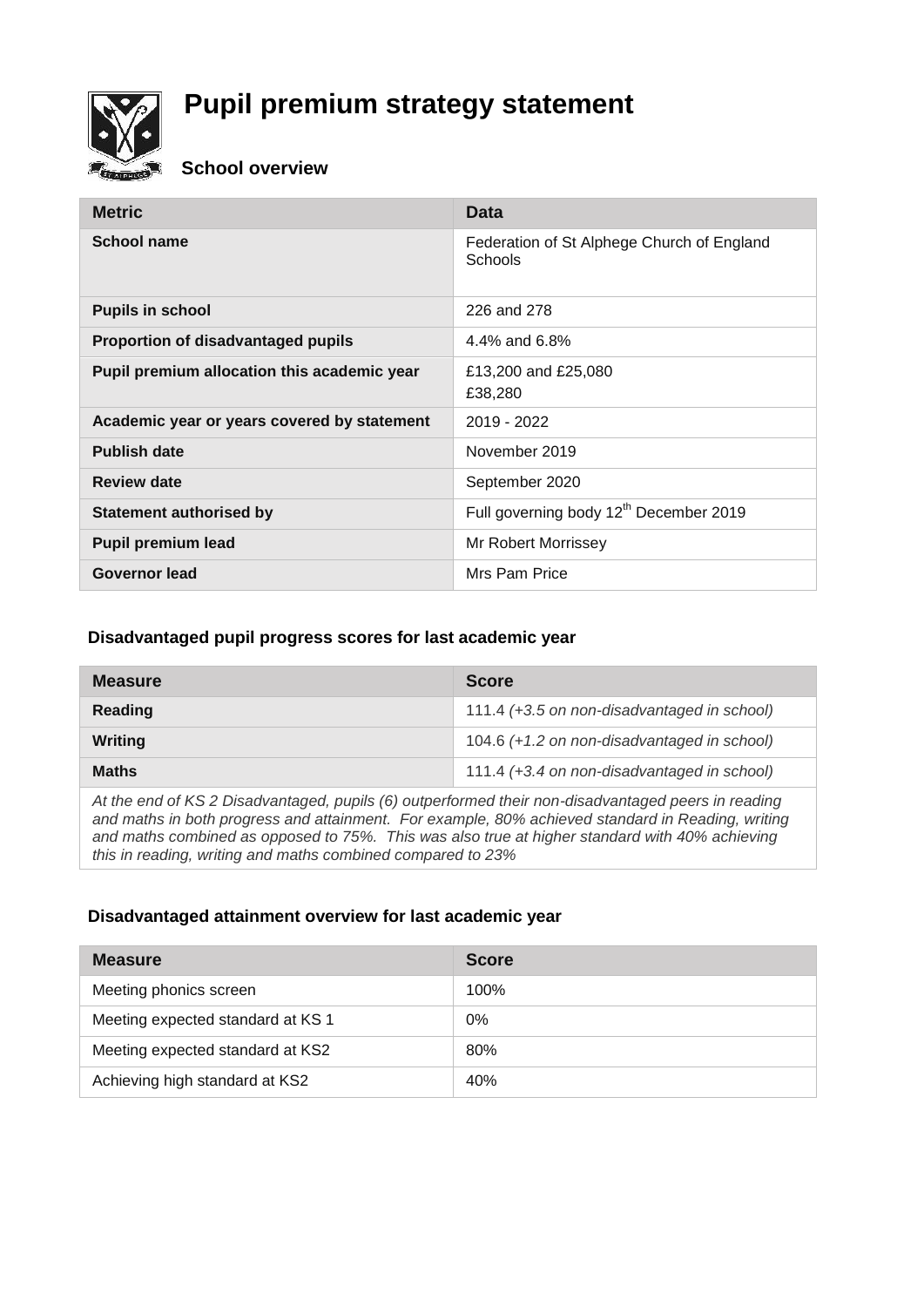

# **Pupil premium strategy statement**

#### **School overview**

| <b>Metric</b>                               | Data                                                  |
|---------------------------------------------|-------------------------------------------------------|
| School name                                 | Federation of St Alphege Church of England<br>Schools |
| <b>Pupils in school</b>                     | 226 and 278                                           |
| Proportion of disadvantaged pupils          | 4.4% and 6.8%                                         |
| Pupil premium allocation this academic year | £13,200 and £25,080<br>£38,280                        |
| Academic year or years covered by statement | 2019 - 2022                                           |
| <b>Publish date</b>                         | November 2019                                         |
| <b>Review date</b>                          | September 2020                                        |
| <b>Statement authorised by</b>              | Full governing body 12 <sup>th</sup> December 2019    |
| <b>Pupil premium lead</b>                   | Mr Robert Morrissey                                   |
| <b>Governor lead</b>                        | Mrs Pam Price                                         |

#### **Disadvantaged pupil progress scores for last academic year**

| <b>Measure</b> | <b>Score</b>                                |
|----------------|---------------------------------------------|
| Reading        | 111.4 (+3.5 on non-disadvantaged in school) |
| Writing        | 104.6 (+1.2 on non-disadvantaged in school) |
| <b>Maths</b>   | 111.4 (+3.4 on non-disadvantaged in school) |
|                |                                             |

*At the end of KS 2 Disadvantaged, pupils (6) outperformed their non-disadvantaged peers in reading and maths in both progress and attainment. For example, 80% achieved standard in Reading, writing and maths combined as opposed to 75%. This was also true at higher standard with 40% achieving this in reading, writing and maths combined compared to 23%* 

#### **Disadvantaged attainment overview for last academic year**

| <b>Measure</b>                    | <b>Score</b> |
|-----------------------------------|--------------|
| Meeting phonics screen            | 100%         |
| Meeting expected standard at KS 1 | $0\%$        |
| Meeting expected standard at KS2  | 80%          |
| Achieving high standard at KS2    | 40%          |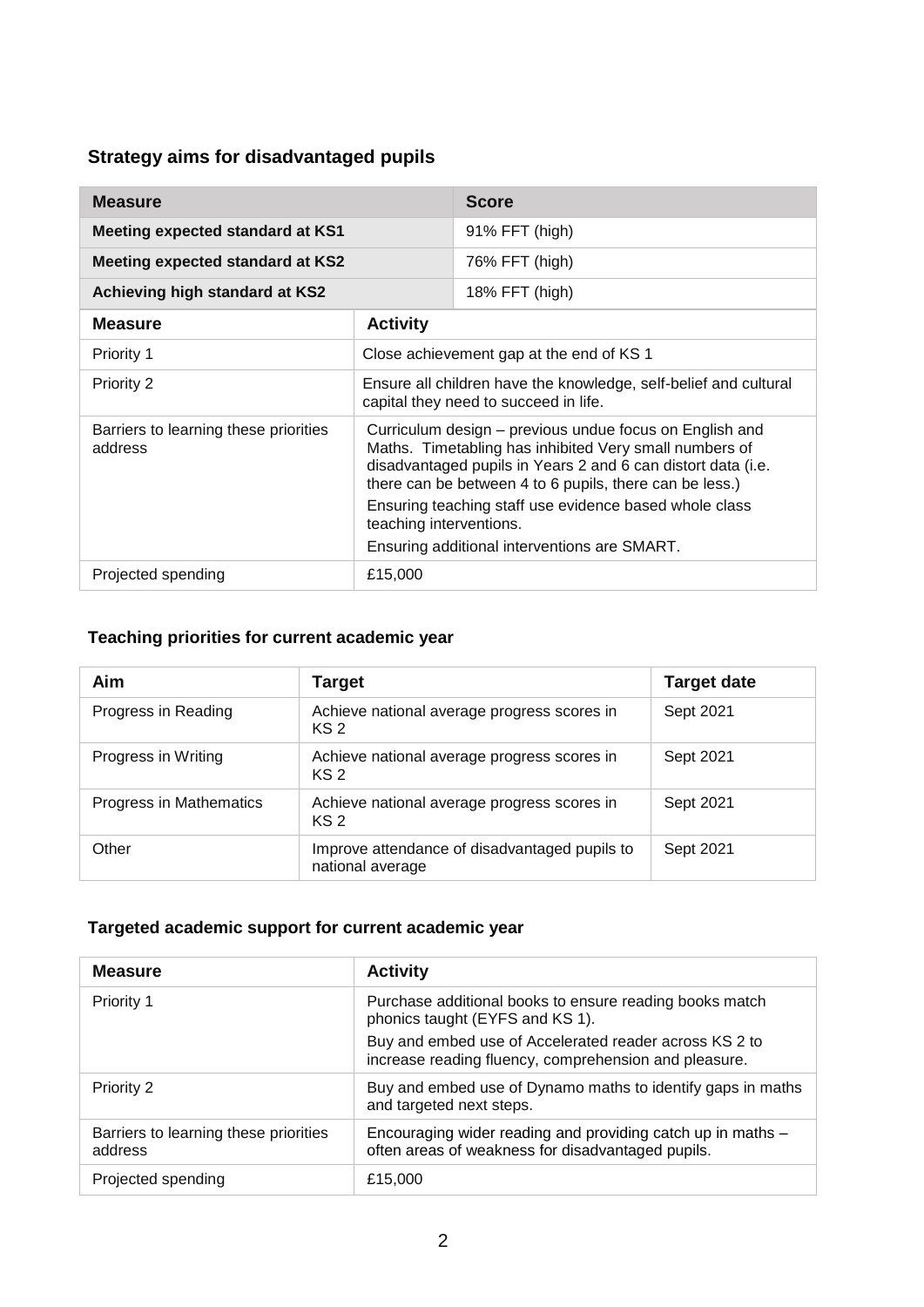# **Strategy aims for disadvantaged pupils**

| <b>Measure</b>                                   |                                                                                                                                                                                                                                                                                                                                                                                   | <b>Score</b>   |
|--------------------------------------------------|-----------------------------------------------------------------------------------------------------------------------------------------------------------------------------------------------------------------------------------------------------------------------------------------------------------------------------------------------------------------------------------|----------------|
| Meeting expected standard at KS1                 |                                                                                                                                                                                                                                                                                                                                                                                   | 91% FFT (high) |
| <b>Meeting expected standard at KS2</b>          |                                                                                                                                                                                                                                                                                                                                                                                   | 76% FFT (high) |
| Achieving high standard at KS2                   |                                                                                                                                                                                                                                                                                                                                                                                   | 18% FFT (high) |
| <b>Measure</b>                                   | <b>Activity</b>                                                                                                                                                                                                                                                                                                                                                                   |                |
| Priority 1                                       | Close achievement gap at the end of KS 1                                                                                                                                                                                                                                                                                                                                          |                |
| Priority 2                                       | Ensure all children have the knowledge, self-belief and cultural<br>capital they need to succeed in life.                                                                                                                                                                                                                                                                         |                |
| Barriers to learning these priorities<br>address | Curriculum design – previous undue focus on English and<br>Maths. Timetabling has inhibited Very small numbers of<br>disadvantaged pupils in Years 2 and 6 can distort data (i.e.<br>there can be between 4 to 6 pupils, there can be less.)<br>Ensuring teaching staff use evidence based whole class<br>teaching interventions.<br>Ensuring additional interventions are SMART. |                |
| Projected spending                               | £15,000                                                                                                                                                                                                                                                                                                                                                                           |                |

### **Teaching priorities for current academic year**

| Aim                     | Target                                                            | <b>Target date</b> |
|-------------------------|-------------------------------------------------------------------|--------------------|
| Progress in Reading     | Achieve national average progress scores in<br>KS <sub>2</sub>    | Sept 2021          |
| Progress in Writing     | Achieve national average progress scores in<br>KS <sub>2</sub>    | Sept 2021          |
| Progress in Mathematics | Achieve national average progress scores in<br>KS <sub>2</sub>    | Sept 2021          |
| Other                   | Improve attendance of disadvantaged pupils to<br>national average | Sept 2021          |

### **Targeted academic support for current academic year**

| <b>Measure</b>                                   | <b>Activity</b>                                                                                                  |
|--------------------------------------------------|------------------------------------------------------------------------------------------------------------------|
| <b>Priority 1</b>                                | Purchase additional books to ensure reading books match<br>phonics taught (EYFS and KS 1).                       |
|                                                  | Buy and embed use of Accelerated reader across KS 2 to<br>increase reading fluency, comprehension and pleasure.  |
| Priority 2                                       | Buy and embed use of Dynamo maths to identify gaps in maths<br>and targeted next steps.                          |
| Barriers to learning these priorities<br>address | Encouraging wider reading and providing catch up in maths -<br>often areas of weakness for disadvantaged pupils. |
| Projected spending                               | £15,000                                                                                                          |